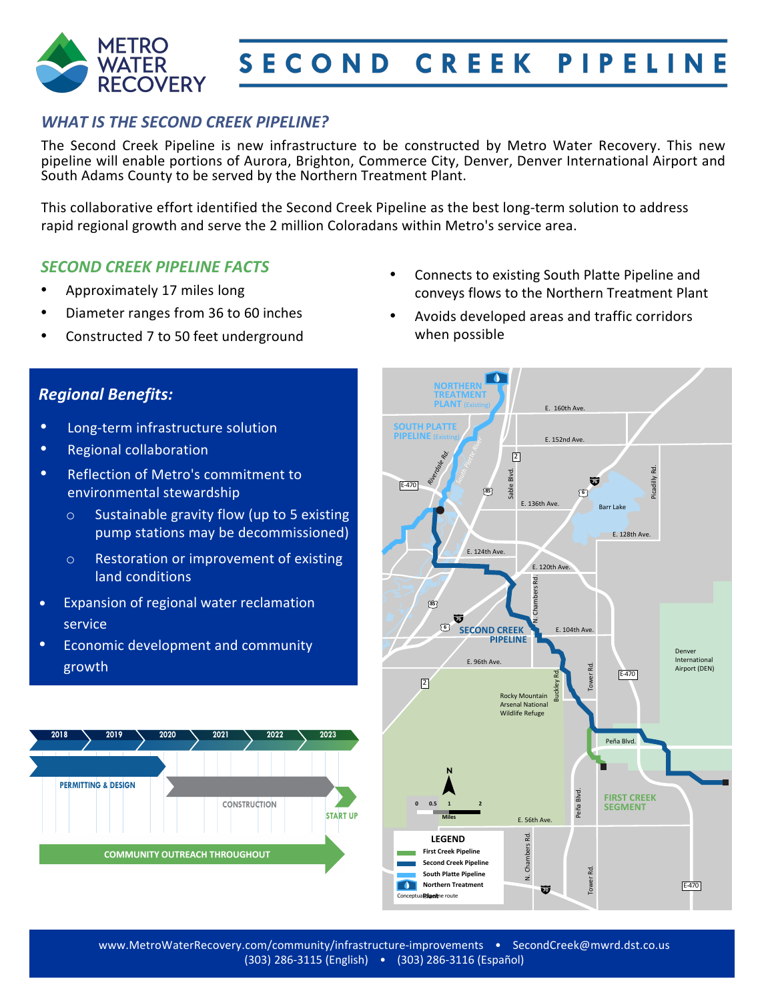

### *WHAT IS THE SECOND CREEK PIPELINE?*

The Second Creek Pipeline is new infrastructure to be constructed by Metro Water Recovery. This new pipeline will enable portions of Aurora, Brighton, Commerce City, Denver, Denver International Airport and South Adams County to be served by the Northern Treatment Plant.

This collaborative effort identified the Second Creek Pipeline as the best long-term solution to address rapid regional growth and serve the some 2 million Coloradans within Metro's service area.

#### *SECOND CREEK PIPELINE FACTS*

- Approximately 17 miles long
- Diameter ranges from 36 to 60 inches
- Constructed 7 to 50 feet underground
- Connects to existing South Platte Pipeline and conveys flows to the Northern Treatment Plant
- Avoids developed areas and traffic corridors when possible

### *Regional Benefits:*

- Long-term infrastructure solution
- Regional collaboration
- Reflection of Metro's commitment to environmental stewardship
	- o Sustainable gravity flow (up to 5 existing pump stations may be decommissioned)
	- o Restoration or improvement of existing land conditions
- Expansion of regional water reclamation service
- Economic development and community growth